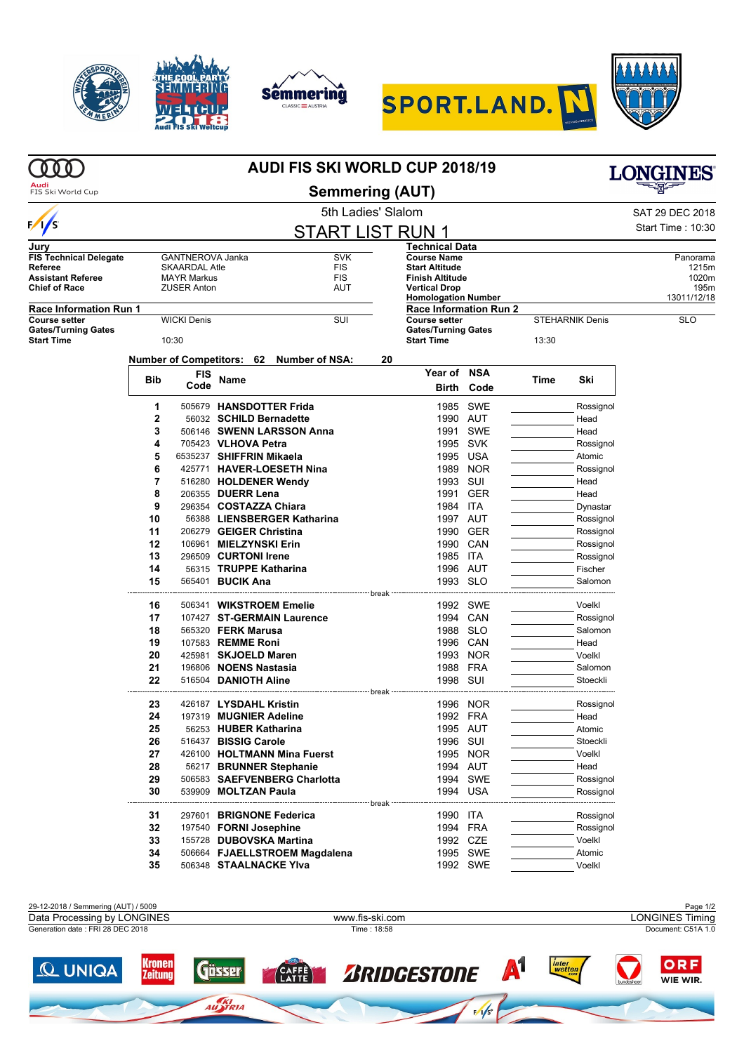









|                                                 |                                         |                      | <b>AUDI FIS SKI WORLD CUP 2018/19</b>            | <b>LONGINES</b>               |         |                                                    |            |       |                        |                     |
|-------------------------------------------------|-----------------------------------------|----------------------|--------------------------------------------------|-------------------------------|---------|----------------------------------------------------|------------|-------|------------------------|---------------------|
| FIS Ski World Cup                               |                                         |                      |                                                  |                               |         |                                                    |            |       |                        |                     |
|                                                 | 5th Ladies' Slalom                      |                      |                                                  |                               |         |                                                    |            |       |                        | SAT 29 DEC 2018     |
| $\sqrt{s}$                                      | <b>START LIST RUN 1</b>                 |                      |                                                  |                               |         |                                                    |            |       |                        | Start Time: 10:30   |
| Jurv                                            |                                         |                      |                                                  |                               |         | Technical Data                                     |            |       |                        |                     |
| <b>FIS Technical Delegate</b>                   |                                         | GANTNEROVA Janka     |                                                  | <b>SVK</b>                    |         | <b>Course Name</b>                                 |            |       |                        | Panorama            |
| Referee                                         |                                         | <b>SKAARDAL Atle</b> |                                                  | <b>FIS</b>                    |         | <b>Start Altitude</b>                              |            |       |                        | 1215m               |
| Assistant Referee                               | <b>FIS</b><br><b>MAYR Markus</b><br>AUT |                      |                                                  |                               |         | <b>Finish Altitude</b>                             |            |       |                        | 1020m               |
| Chief of Race                                   |                                         | <b>ZUSER Anton</b>   |                                                  |                               |         | <b>Vertical Drop</b><br><b>Homologation Number</b> |            |       |                        | 195m<br>13011/12/18 |
| Race Information Run 1                          |                                         |                      |                                                  |                               |         | <b>Race Information Run 2</b>                      |            |       |                        |                     |
| Course setter                                   |                                         | <b>WICKI Denis</b>   |                                                  | SUI                           |         | <b>Course setter</b>                               |            |       | <b>STEHARNIK Denis</b> | <b>SLO</b>          |
| <b>Gates/Turning Gates</b><br><b>Start Time</b> |                                         | 10:30                |                                                  |                               |         | <b>Gates/Turning Gates</b><br><b>Start Time</b>    |            | 13:30 |                        |                     |
|                                                 |                                         |                      | Number of Competitors: 62                        | <b>Number of NSA:</b>         | 20      |                                                    |            |       |                        |                     |
|                                                 |                                         | FIS                  |                                                  |                               |         | Year of NSA                                        |            |       |                        |                     |
|                                                 | <b>Bib</b>                              | Code                 | Name                                             |                               |         | <b>Birth</b>                                       | Code       | Time  | Ski                    |                     |
|                                                 | 1                                       |                      | 505679 HANSDOTTER Frida                          |                               |         | 1985                                               | SWE        |       |                        |                     |
|                                                 | 2                                       |                      | 56032 SCHILD Bernadette                          |                               |         | 1990 AUT                                           |            |       | Rossignol<br>Head      |                     |
|                                                 | 3                                       |                      |                                                  | 506146 SWENN LARSSON Anna     |         | 1991                                               | SWE        |       | Head                   |                     |
|                                                 | 4                                       |                      | 705423 VLHOVA Petra                              |                               |         | 1995 SVK                                           |            |       | Rossignol              |                     |
|                                                 | 5                                       |                      | 6535237 SHIFFRIN Mikaela                         |                               |         | 1995 USA                                           |            |       | Atomic                 |                     |
|                                                 | 6                                       |                      |                                                  | 425771 HAVER-LOESETH Nina     |         |                                                    | 1989 NOR   |       | Rossignol              |                     |
|                                                 | 7                                       |                      | 516280 HOLDENER Wendy                            |                               |         | 1993                                               | SUI        |       | Head                   |                     |
|                                                 | 8                                       |                      | 206355 DUERR Lena                                |                               |         | 1991                                               | GER        |       | Head                   |                     |
|                                                 | 9                                       |                      | 296354 COSTAZZA Chiara                           |                               |         | 1984 ITA                                           |            |       | Dynastar               |                     |
|                                                 | 10                                      |                      |                                                  | 56388 LIENSBERGER Katharina   |         | 1997 AUT                                           |            |       | Rossignol              |                     |
|                                                 | 11                                      |                      | 206279 GEIGER Christina                          |                               |         |                                                    | 1990 GER   |       | Rossignol              |                     |
|                                                 | 12                                      |                      | 106961 MIELZYNSKI Erin                           |                               |         | 1990 CAN                                           |            |       | Rossignol              |                     |
|                                                 | 13                                      |                      | 296509 CURTONI Irene                             |                               |         | 1985 ITA                                           |            |       | Rossignol              |                     |
|                                                 | 14                                      |                      | 56315 TRUPPE Katharina                           |                               |         | 1996 AUT                                           |            |       | Fischer                |                     |
|                                                 | 15                                      |                      | 565401 <b>BUCIK Ana</b>                          |                               |         | 1993 SLO                                           |            |       | Salomon                |                     |
|                                                 |                                         |                      |                                                  |                               | break   |                                                    | 1992 SWE   |       |                        |                     |
|                                                 | 16<br>17                                |                      | 506341 WIKSTROEM Emelie                          | 107427 ST-GERMAIN Laurence    |         |                                                    | 1994 CAN   |       | Voelkl                 |                     |
|                                                 | 18                                      |                      | 565320 <b>FERK Marusa</b>                        |                               |         | 1988 SLO                                           |            |       | Rossignol<br>Salomon   |                     |
|                                                 | 19                                      |                      | 107583 REMME Roni                                |                               |         | 1996 CAN                                           |            |       | Head                   |                     |
|                                                 | 20                                      |                      | 425981 SKJOELD Maren                             |                               |         | 1993                                               | <b>NOR</b> |       | Voelkl                 |                     |
|                                                 | 21                                      |                      | 196806 NOENS Nastasia                            |                               |         | 1988 FRA                                           |            |       | Salomon                |                     |
|                                                 | 22                                      |                      | 516504 DANIOTH Aline                             |                               |         | 1998 SUI                                           |            |       | Stoeckli               |                     |
|                                                 |                                         |                      |                                                  |                               | break   |                                                    |            |       |                        |                     |
|                                                 | 23<br>24                                |                      | 426187 LYSDAHL Kristin<br>197319 MUGNIER Adeline |                               |         | 1992 FRA                                           | 1996 NOR   |       | Rossignol<br>Head      |                     |
|                                                 | 25                                      |                      | 56253 HUBER Katharina                            |                               |         | 1995 AUT                                           |            |       | Atomic                 |                     |
|                                                 | 26                                      |                      | 516437 BISSIG Carole                             |                               |         | 1996 SUI                                           |            |       | Stoeckli               |                     |
|                                                 | 27                                      |                      |                                                  | 426100 HOLTMANN Mina Fuerst   |         |                                                    | 1995 NOR   |       | Voelkl                 |                     |
|                                                 | 28                                      |                      | 56217 BRUNNER Stephanie                          |                               |         | 1994 AUT                                           |            |       | Head                   |                     |
|                                                 | 29                                      |                      |                                                  | 506583 SAEFVENBERG Charlotta  |         |                                                    | 1994 SWE   |       | Rossignol              |                     |
|                                                 | 30                                      |                      | 539909 MOLTZAN Paula                             |                               |         |                                                    | 1994 USA   |       | Rossignol              |                     |
|                                                 | 31                                      |                      | 297601 BRIGNONE Federica                         |                               | ⊤ break | 1990 ITA                                           |            |       | Rossignol              |                     |
|                                                 | 32                                      |                      | 197540 FORNI Josephine                           |                               |         | 1994 FRA                                           |            |       | Rossignol              |                     |
|                                                 | 33                                      |                      | 155728 DUBOVSKA Martina                          |                               |         | 1992 CZE                                           |            |       | Voelkl                 |                     |
|                                                 | 34                                      |                      |                                                  | 506664 FJAELLSTROEM Magdalena |         |                                                    | 1995 SWE   |       | Atomic                 |                     |
|                                                 | 35                                      |                      | 506348 STAALNACKE Ylva                           |                               |         |                                                    | 1992 SWE   |       | Voelkl                 |                     |
|                                                 |                                         |                      |                                                  |                               |         |                                                    |            |       |                        |                     |